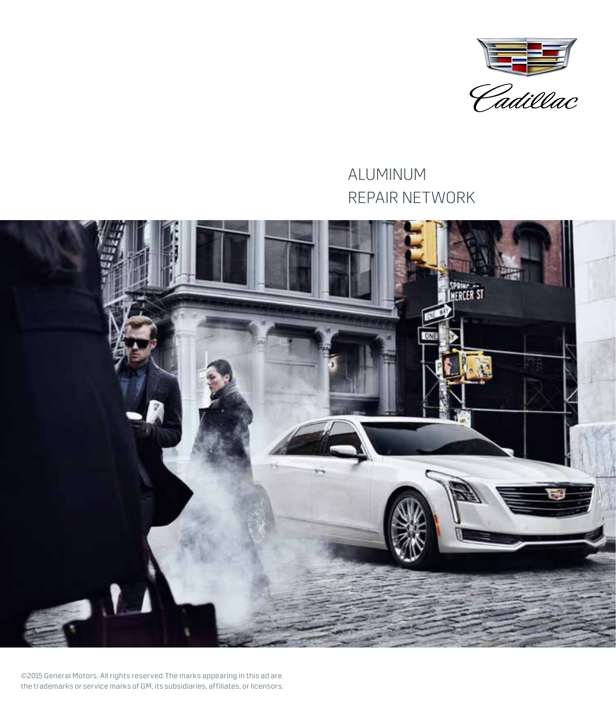

# ALUMINUM REPAIR NETWORK